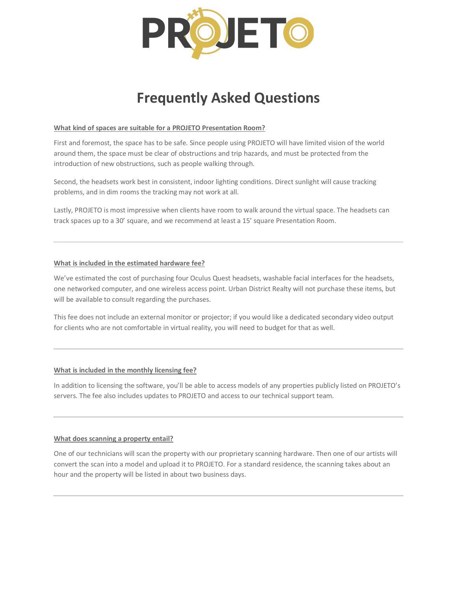

# **Frequently Asked Questions**

# **What kind of spaces are suitable for a PROJETO Presentation Room?**

First and foremost, the space has to be safe. Since people using PROJETO will have limited vision of the world around them, the space must be clear of obstructions and trip hazards, and must be protected from the introduction of new obstructions, such as people walking through.

Second, the headsets work best in consistent, indoor lighting conditions. Direct sunlight will cause tracking problems, and in dim rooms the tracking may not work at all.

Lastly, PROJETO is most impressive when clients have room to walk around the virtual space. The headsets can track spaces up to a 30' square, and we recommend at least a 15' square Presentation Room.

# **What is included in the estimated hardware fee?**

We've estimated the cost of purchasing four Oculus Quest headsets, washable facial interfaces for the headsets, one networked computer, and one wireless access point. Urban District Realty will not purchase these items, but will be available to consult regarding the purchases.

This fee does not include an external monitor or projector; if you would like a dedicated secondary video output for clients who are not comfortable in virtual reality, you will need to budget for that as well.

### **What is included in the monthly licensing fee?**

In addition to licensing the software, you'll be able to access models of any properties publicly listed on PROJETO's servers. The fee also includes updates to PROJETO and access to our technical support team.

### **What does scanning a property entail?**

One of our technicians will scan the property with our proprietary scanning hardware. Then one of our artists will convert the scan into a model and upload it to PROJETO. For a standard residence, the scanning takes about an hour and the property will be listed in about two business days.